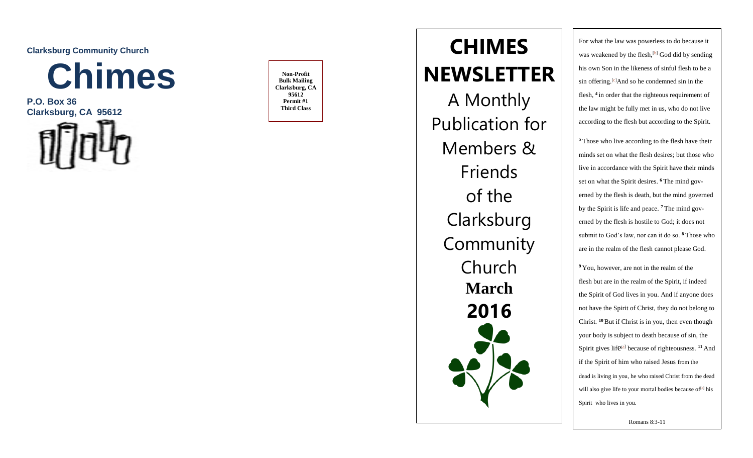**Clarksburg Community Church** 



**P.O. Box 36 Clarksburg, CA 95612** 



**Non -Profit Bulk Mailing Clarksburg, CA 95612 Permit #1 Third Class**

**HIMES CHIMES NEWSLETTER** A Monthly Publication for Members & Friends of the **Clarksburg Community** Church **March 201 6**

For what the law was powerless to do because it was weakened [b](https://www.biblegateway.com/passage/?search=romans+8%3A+1-11&version=NIV#fen-NIV-28120b)y the flesh,<sup>[b]</sup> God did by sending his own Son in the likeness of sinful flesh to be a sin offering.<sup>[[c](https://www.biblegateway.com/passage/?search=romans+8%3A+1-11&version=NIV#fen-NIV-28120c)]</sup>And so he condemned sin in the flesh, **4** in order that the righteous requirement of the law might be fully met in us, who do not live according to the flesh but according to the Spirit.

**<sup>5</sup>** Those who live according to the flesh have their minds set on what the flesh desires; but those who live in accordance with the Spirit have their minds set on what the Spirit desires. **<sup>6</sup>** The mind governed by the flesh is death, but the mind governed by the Spirit is life and peace. **<sup>7</sup>** The mind governed by the flesh is hostile to God; it does not submit to God's law, nor can it do so. **<sup>8</sup>** Those who are in the realm of the flesh cannot please God.

**<sup>9</sup>** You, however, are not in the realm of the flesh but are in the realm of the Spirit, if indeed the Spirit of God lives in you. And if anyone does not have the Spirit of Christ, they do not belong to Christ. **<sup>10</sup>**But if Christ is in you, then even though your body is subject to death because of sin, the Spirit gives life<sup>[d](https://www.biblegateway.com/passage/?search=romans+8%3A+1-11&version=NIV#fen-NIV-28127d)</sup> because of righteousness.<sup>11</sup> And if the Spirit of him who raised Jesus from the dead is living in you, he who raised Christ from the dead will also giv[e](https://www.biblegateway.com/passage/?search=romans+8%3A+1-11&version=NIV#fen-NIV-28128e) life to your mortal bodies because of<sup>[e]</sup> his Spirit who lives in you.

Romans 8:3 -11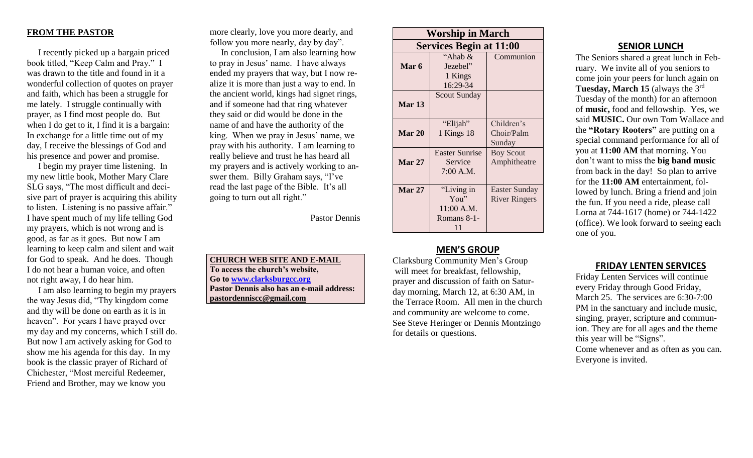### **FROM THE PASTOR**

 I recently picked up a bargain priced book titled, "Keep Calm and Pray." I was drawn to the title and found in it a wonderful collection of quotes on prayer and faith, which has been a struggle for me lately. I struggle continually with prayer, as I find most people do. But when I do get to it, I find it is a bargain: In exchange for a little time out of my day, I receive the blessings of God and his presence and power and promise.

 I begin my prayer time listening. In my new little book, Mother Mary Clare SLG says, "The most difficult and decisive part of prayer is acquiring this ability to listen. Listening is no passive affair." I have spent much of my life telling God my prayers, which is not wrong and is good, as far as it goes. But now I am learning to keep calm and silent and wait for God to speak. And he does. Though I do not hear a human voice, and often not right away, I do hear him.

 I am also learning to begin my prayers the way Jesus did, "Thy kingdom come and thy will be done on earth as it is in heaven". For years I have prayed over my day and my concerns, which I still do. But now I am actively asking for God to show me his agenda for this day. In my book is the classic prayer of Richard of Chichester, "Most merciful Redeemer, Friend and Brother, may we know you

more clearly, love you more dearly, and follow you more nearly, day by day".

 In conclusion, I am also learning how to pray in Jesus' name. I have always ended my prayers that way, but I now realize it is more than just a way to end. In the ancient world, kings had signet rings, and if someone had that ring whatever they said or did would be done in the name of and have the authority of the king. When we pray in Jesus' name, we pray with his authority. I am learning to really believe and trust he has heard all my prayers and is actively working to answer them. Billy Graham says, "I've read the last page of the Bible. It's all going to turn out all right."

Pastor Dennis

**CHURCH WEB SITE AND E-MAIL To access the church's website, Go to [www.clarksburgcc.org](http://www.clarksburgcc.org/) Pastor Dennis also has an e-mail address: [pastordenniscc@gmail.com](mailto:pastordenniscc@gmail.com)**

| <b>Worship in March</b>        |                                                          |                                       |
|--------------------------------|----------------------------------------------------------|---------------------------------------|
| <b>Services Begin at 11:00</b> |                                                          |                                       |
| Mar 6                          | "Ahab $\&$<br>Jezebel"<br>1 Kings<br>16:29-34            | Communion                             |
| <b>Mar 13</b>                  | <b>Scout Sunday</b>                                      |                                       |
| Mar 20                         | "Elijah"<br>1 Kings 18                                   | Children's<br>Choir/Palm<br>Sunday    |
| <b>Mar 27</b>                  | <b>Easter Sunrise</b><br>Service<br>$7:00$ A.M.          | <b>Boy Scout</b><br>Amphitheatre      |
| <b>Mar 27</b>                  | "Living in<br>You''<br>$11:00$ A.M.<br>Romans 8-1-<br>11 | Easter Sunday<br><b>River Ringers</b> |

# **MEN'S GROUP**

Clarksburg Community Men's Group will meet for breakfast, fellowship, prayer and discussion of faith on Saturday morning, March 12, at 6:30 AM, in the Terrace Room. All men in the church and community are welcome to come. See Steve Heringer or Dennis Montzingo for details or questions.

### **SENIOR LUNCH**

The Seniors shared a great lunch in February. We invite all of you seniors to come join your peers for lunch again on **Tuesday, March 15** (always the 3rd Tuesday of the month) for an afternoon of **music,** food and fellowship. Yes, we said **MUSIC.** Our own Tom Wallace and the **"Rotary Rooters"** are putting on a special command performance for all of you at **11:00 AM** that morning. You don't want to miss the **big band music** from back in the day! So plan to arrive for the **11:00 AM** entertainment, followed by lunch. Bring a friend and join the fun. If you need a ride, please call Lorna at 744-1617 (home) or 744-1422 (office). We look forward to seeing each one of you.

### **FRIDAY LENTEN SERVICES**

Friday Lenten Services will continue every Friday through Good Friday, March 25. The services are 6:30-7:00 PM in the sanctuary and include music, singing, prayer, scripture and communion. They are for all ages and the theme this year will be "Signs". Come whenever and as often as you can. Everyone is invited.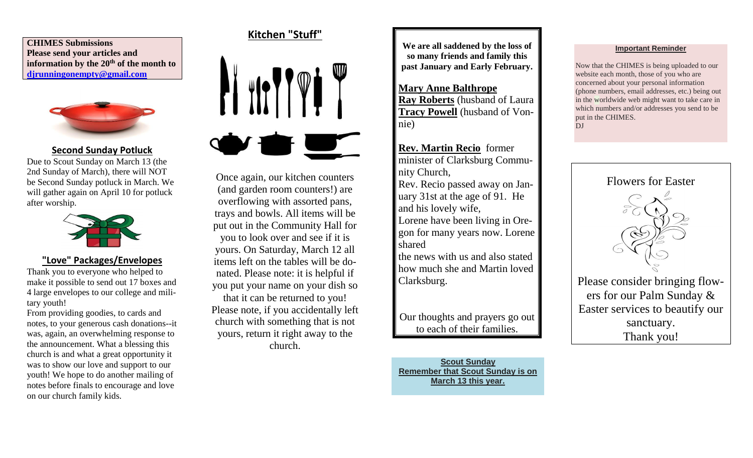**CHIMES Submissions Please send your articles and information by the 20th of the month to [djrunningonempty@gmail.com](mailto:djrunningonempty@gmail.com)**



## **Second Sunday Potluck**

Due to Scout Sunday on March 13 (the 2nd Sunday of March), there will NOT be Second Sunday potluck in March. We will gather again on April 10 for potluck after worship.



# **"Love" Packages/Envelopes**

Thank you to everyone who helped to make it possible to send out 17 boxes and 4 large envelopes to our college and military youth!

From providing goodies, to cards and notes, to your generous cash donations--it was, again, an overwhelming response to the announcement. What a blessing this church is and what a great opportunity it was to show our love and support to our youth! We hope to do another mailing of notes before finals to encourage and love on our church family kids.

# **Kitchen "Stuff"**



Once again, our kitchen counters (and garden room counters!) are overflowing with assorted pans, trays and bowls. All items will be put out in the Community Hall for you to look over and see if it is yours. On Saturday, March 12 all items left on the tables will be donated. Please note: it is helpful if you put your name on your dish so that it can be returned to you! Please note, if you accidentally left church with something that is not yours, return it right away to the church.

**We are all saddened by the loss of so many friends and family this past January and Early February.**

**Mary Anne Balthrope Ray Roberts** (husband of Laura **Tracy Powell** (husband of Vonnie)

**Rev. Martin Recio** former minister of Clarksburg Community Church, Rev. Recio passed away on January 31st at the age of 91. He and his lovely wife, Lorene have been living in Oregon for many years now. Lorene shared the news with us and also stated how much she and Martin loved

Our thoughts and prayers go out to each of their families.

Clarksburg.

**Scout Sunday Remember that Scout Sunday is on March 13 this year.**

#### **Important Reminder**

Now that the CHIMES is being uploaded to our website each month, those of you who are concerned about your personal information (phone numbers, email addresses, etc.) being out in the worldwide web might want to take care in which numbers and/or addresses you send to be put in the CHIMES. DJ



ers for our Palm Sunday & Easter services to beautify our sanctuary. Thank you!